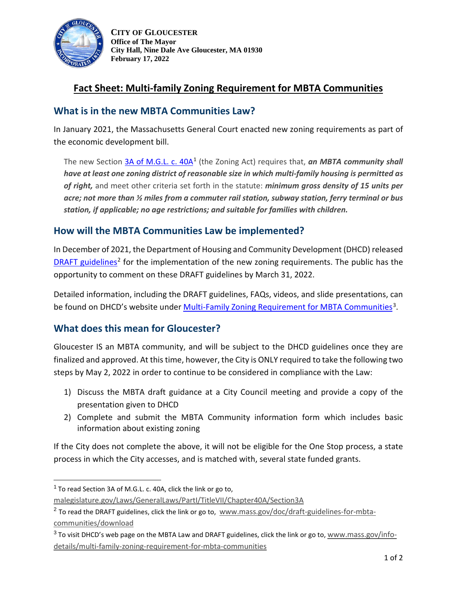

**CITY OF GLOUCESTER Office of The Mayor City Hall, Nine Dale Ave Gloucester, MA 01930 February 17, 2022** 

# **Fact Sheet: Multi-family Zoning Requirement for MBTA Communities**

### **What is in the new MBTA Communities Law?**

In January 2021, the Massachusetts General Court enacted new zoning requirements as part of the economic development bill.

The new Section [3A of M.G.L. c. 40A](https://malegislature.gov/Laws/GeneralLaws/PartI/TitleVII/Chapter40A/Section3A)<sup>[1](#page-0-0)</sup> (the Zoning Act) requires that, *an MBTA community shall have at least one zoning district of reasonable size in which multi-family housing is permitted as of right,* and meet other criteria set forth in the statute: *minimum gross density of 15 units per acre; not more than ½ miles from a commuter rail station, subway station, ferry terminal or bus station, if applicable; no age restrictions; and suitable for families with children.*

### **How will the MBTA Communities Law be implemented?**

In December of 2021, the Department of Housing and Community Development (DHCD) released [DRAFT guidelines](https://www.mass.gov/doc/draft-guidelines-for-mbta-communities/download)<sup>[2](#page-0-1)</sup> for the implementation of the new zoning requirements. The public has the opportunity to comment on these DRAFT guidelines by March 31, 2022.

Detailed information, including the DRAFT guidelines, FAQs, videos, and slide presentations, can be found on DHCD's website under [Multi-Family Zoning Requirement for MBTA Communities](https://www.mass.gov/info-details/multi-family-zoning-requirement-for-mbta-communities#how-mbta-communities-can-comply-in-2022-)<sup>3</sup>.

### **What does this mean for Gloucester?**

Gloucester IS an MBTA community, and will be subject to the DHCD guidelines once they are finalized and approved. At this time, however, the City is ONLY required to take the following two steps by May 2, 2022 in order to continue to be considered in compliance with the Law:

- 1) Discuss the MBTA draft guidance at a City Council meeting and provide a copy of the presentation given to DHCD
- 2) Complete and submit the MBTA Community information form which includes basic information about existing zoning

If the City does not complete the above, it will not be eligible for the One Stop process, a state process in which the City accesses, and is matched with, several state funded grants.

<span id="page-0-0"></span> $1$  To read Section 3A of M.G.L. c. 40A, click the link or go to,

[malegislature.gov/Laws/GeneralLaws/PartI/TitleVII/Chapter40A/Section3A](https://malegislature.gov/Laws/GeneralLaws/PartI/TitleVII/Chapter40A/Section3A)

<span id="page-0-1"></span><sup>&</sup>lt;sup>2</sup> To read the DRAFT guidelines, click the link or go to, [www.mass.gov/doc/draft-guidelines-for-mbta](https://www.mass.gov/doc/draft-guidelines-for-mbta-communities/download)[communities/download](https://www.mass.gov/doc/draft-guidelines-for-mbta-communities/download)

<span id="page-0-2"></span> $3$  To visit DHCD's web page on the MBTA Law and DRAFT guidelines, click the link or go to, [www.mass.gov/info](https://www.mass.gov/info-details/multi-family-zoning-requirement-for-mbta-communities#how-mbta-communities-can-comply-in-2022-)[details/multi-family-zoning-requirement-for-mbta-communities](https://www.mass.gov/info-details/multi-family-zoning-requirement-for-mbta-communities#how-mbta-communities-can-comply-in-2022-)